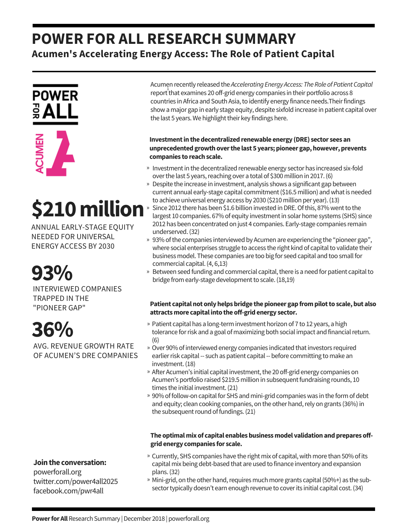## **POWER FOR ALL RESEARCH SUMMARY Acumen's Accelerating Energy Access: The Role of Patient Capital**



# **\$210million**

ANNUAL EARLY-STAGE EQUITY NEEDED FOR UNIVERSAL ENERGY ACCESS BY 2030

**93%**

INTERVIEWED COMPANIES TRAPPED IN THE "PIONEER GAP"

# **36%**

AVG. REVENUE GROWTH RATE OF ACUMEN'S DRE COMPANIES

## **Jointhe conversation:**

powerforall.org twitter.com/power4all2025 facebook.com/pwr4all

Acumen recently releasedthe *AcceleratingEnergy Access: TheRole ofPatientCapital* report that examines 20 off-grid energy companies in their portfolio across 8 countries in Africa and South Asia, to identify energy finance needs. Their findings show a major gap in early stage equity, despite sixfold increase in patient capital over the last 5 years. We highlight their key findings here.

### **Investment in the decentralized renewable energy (DRE) sector sees an unprecedentedgrowthoverthe last 5 years;pioneer gap,however,prevents companies** to reach scale.

- » Investment in the decentralized renewable energy sector has increased six-fold over the last 5 years, reaching over a total of \$300 million in 2017. (6)
- » Despite the increase in investment, analysis shows a significant gap between current annual early-stage capital commitment (\$16.5 million) and what is needed to achieve universal energy access by 2030 (\$210 million per year). (13)
- Since 2012 there has been \$1.6 billion invested in DRE. Of this, 87% went to the largest 10 companies. 67% of equity investment in solar home systems (SHS) since 2012 has been concentrated on just 4 companies. Early-stage companies remain underserved.(32) »
- » 93% of the companies interviewed by Acumen are experiencing the "pioneer gap", where social enterprises struggle to access the right kind of capital to validate their business model. These companies are too big for seed capital and too small for commercial capital.(4, 6,13)
- » Between seed funding and commercial capital, there is a need for patient capital to bridge from early-stage development to scale. (18,19)

### **Patient capitalnot onlyhelpsbridge thepioneer gapfrompilottoscale,but also attractsmore capitalintotheoff-gridenergy sector.**

- » Patient capital has a long-term investment horizon of 7 to 12 years, a high tolerance for risk and a goal of maximizing both social impact and financial return. (6)
- » Over 90% of interviewed energy companies indicated that investors required earlier risk capital -- such as patient capital -- before committing to make an investment. (18)
- » After Acumen's initial capital investment, the 20 off-grid energy companies on Acumen's portfolio raised \$219.5 million in subsequent fundraising rounds, 10 times the initial investment.(21)
- » 90% of follow-on capital for SHS and mini-grid companies was in the form of debt and equity; clean cooking companies, on the other hand, rely on grants (36%) in the subsequent round of fundings. (21)

### **The optimal mix of capital enables business model validation and prepares offgridenergy companies for scale.**

- » Currently, SHS companies have the right mix of capital, with more than 50% of its capital mix being debt-based that are used to finance inventory and expansion plans.(32)
- » Mini-grid, on the other hand, requires much more grants capital (50%+) as the subsector typically doesn't earn enough revenue to cover its initial capital cost. (34)